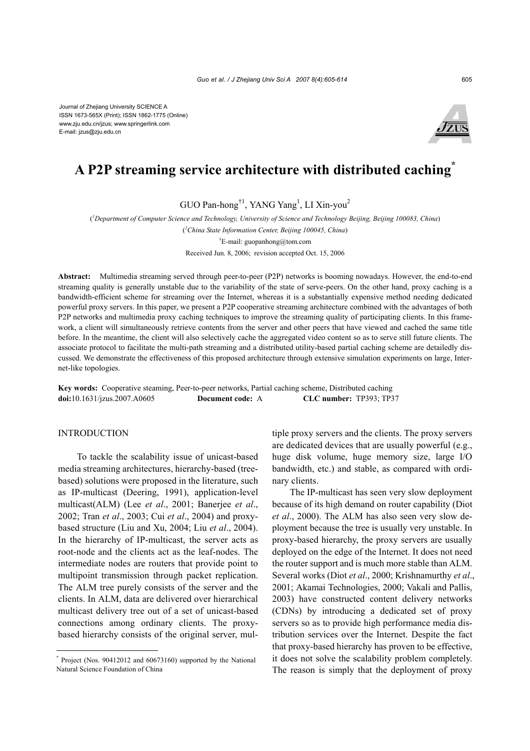Journal of Zhejiang University SCIENCE A ISSN 1673-565X (Print); ISSN 1862-1775 (Online) www.zju.edu.cn/jzus; www.springerlink.com E-mail: jzus@zju.edu.cn



# **A P2P streaming service architecture with distributed caching\***

GUO Pan-hong<sup>†1</sup>, YANG Yang<sup>1</sup>, LI Xin-you<sup>2</sup>

( *1 Department of Computer Science and Technology, University of Science and Technology Beijing, Beijing 100083, China*) ( *2 China State Information Center, Beijing 100045, China*) † E-mail: guopanhong@tom.com

Received Jun. 8, 2006; revision accepted Oct. 15, 2006

**Abstract:** Multimedia streaming served through peer-to-peer (P2P) networks is booming nowadays. However, the end-to-end streaming quality is generally unstable due to the variability of the state of serve-peers. On the other hand, proxy caching is a bandwidth-efficient scheme for streaming over the Internet, whereas it is a substantially expensive method needing dedicated powerful proxy servers. In this paper, we present a P2P cooperative streaming architecture combined with the advantages of both P2P networks and multimedia proxy caching techniques to improve the streaming quality of participating clients. In this framework, a client will simultaneously retrieve contents from the server and other peers that have viewed and cached the same title before. In the meantime, the client will also selectively cache the aggregated video content so as to serve still future clients. The associate protocol to facilitate the multi-path streaming and a distributed utility-based partial caching scheme are detailedly discussed. We demonstrate the effectiveness of this proposed architecture through extensive simulation experiments on large, Internet-like topologies.

**Key words:** Cooperative steaming, Peer-to-peer networks, Partial caching scheme, Distributed caching **doi:**10.1631/jzus.2007.A0605 **Document code:** A **CLC number:** TP393; TP37

# INTRODUCTION

To tackle the scalability issue of unicast-based media streaming architectures, hierarchy-based (treebased) solutions were proposed in the literature, such as IP-multicast (Deering, 1991), application-level multicast(ALM) (Lee *et al*., 2001; Banerjee *et al*., 2002; Tran *et al*., 2003; Cui *et al*., 2004) and proxybased structure (Liu and Xu, 2004; Liu *et al*., 2004). In the hierarchy of IP-multicast, the server acts as root-node and the clients act as the leaf-nodes. The intermediate nodes are routers that provide point to multipoint transmission through packet replication. The ALM tree purely consists of the server and the clients. In ALM, data are delivered over hierarchical multicast delivery tree out of a set of unicast-based connections among ordinary clients. The proxybased hierarchy consists of the original server, multiple proxy servers and the clients. The proxy servers are dedicated devices that are usually powerful (e.g., huge disk volume, huge memory size, large I/O bandwidth, etc.) and stable, as compared with ordinary clients.

The IP-multicast has seen very slow deployment because of its high demand on router capability (Diot *et al*., 2000). The ALM has also seen very slow deployment because the tree is usually very unstable. In proxy-based hierarchy, the proxy servers are usually deployed on the edge of the Internet. It does not need the router support and is much more stable than ALM. Several works (Diot *et al*., 2000; Krishnamurthy *et al*., 2001; Akamai Technologies, 2000; Vakali and Pallis, 2003) have constructed content delivery networks (CDNs) by introducing a dedicated set of proxy servers so as to provide high performance media distribution services over the Internet. Despite the fact that proxy-based hierarchy has proven to be effective, it does not solve the scalability problem completely. The reason is simply that the deployment of proxy

<sup>\*</sup> Project (Nos. 90412012 and 60673160) supported by the National Natural Science Foundation of China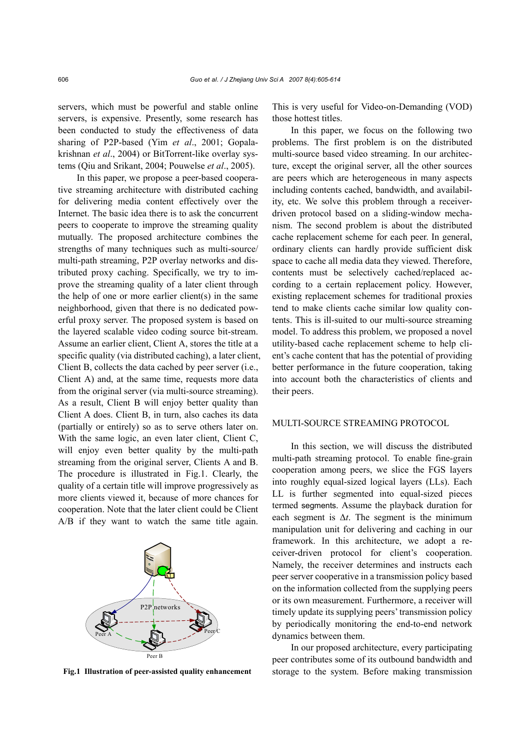servers, which must be powerful and stable online servers, is expensive. Presently, some research has been conducted to study the effectiveness of data sharing of P2P-based (Yim *et al*., 2001; Gopalakrishnan *et al*., 2004) or BitTorrent-like overlay systems (Qiu and Srikant, 2004; Pouwelse *et al*., 2005).

In this paper, we propose a peer-based cooperative streaming architecture with distributed caching for delivering media content effectively over the Internet. The basic idea there is to ask the concurrent peers to cooperate to improve the streaming quality mutually. The proposed architecture combines the strengths of many techniques such as multi-source/ multi-path streaming, P2P overlay networks and distributed proxy caching. Specifically, we try to improve the streaming quality of a later client through the help of one or more earlier client(s) in the same neighborhood, given that there is no dedicated powerful proxy server. The proposed system is based on the layered scalable video coding source bit-stream. Assume an earlier client, Client A, stores the title at a specific quality (via distributed caching), a later client, Client B, collects the data cached by peer server (i.e., Client A) and, at the same time, requests more data from the original server (via multi-source streaming). As a result, Client B will enjoy better quality than Client A does. Client B, in turn, also caches its data (partially or entirely) so as to serve others later on. With the same logic, an even later client, Client C, will enjoy even better quality by the multi-path streaming from the original server, Clients A and B. The procedure is illustrated in Fig.1. Clearly, the quality of a certain title will improve progressively as more clients viewed it, because of more chances for cooperation. Note that the later client could be Client A/B if they want to watch the same title again.



This is very useful for Video-on-Demanding (VOD) those hottest titles.

In this paper, we focus on the following two problems. The first problem is on the distributed multi-source based video streaming. In our architecture, except the original server, all the other sources are peers which are heterogeneous in many aspects including contents cached, bandwidth, and availability, etc. We solve this problem through a receiverdriven protocol based on a sliding-window mechanism. The second problem is about the distributed cache replacement scheme for each peer. In general, ordinary clients can hardly provide sufficient disk space to cache all media data they viewed. Therefore, contents must be selectively cached/replaced according to a certain replacement policy. However, existing replacement schemes for traditional proxies tend to make clients cache similar low quality contents. This is ill-suited to our multi-source streaming model. To address this problem, we proposed a novel utility-based cache replacement scheme to help client's cache content that has the potential of providing better performance in the future cooperation, taking into account both the characteristics of clients and their peers.

## MULTI-SOURCE STREAMING PROTOCOL

In this section, we will discuss the distributed multi-path streaming protocol. To enable fine-grain cooperation among peers, we slice the FGS layers into roughly equal-sized logical layers (LLs). Each LL is further segmented into equal-sized pieces termed segments. Assume the playback duration for each segment is ∆*t*. The segment is the minimum manipulation unit for delivering and caching in our framework. In this architecture, we adopt a receiver-driven protocol for client's cooperation. Namely, the receiver determines and instructs each peer server cooperative in a transmission policy based on the information collected from the supplying peers or its own measurement. Furthermore, a receiver will timely update its supplying peers' transmission policy by periodically monitoring the end-to-end network dynamics between them.

In our proposed architecture, every participating peer contributes some of its outbound bandwidth and **Fig.1 Illustration of peer-assisted quality enhancement** storage to the system. Before making transmission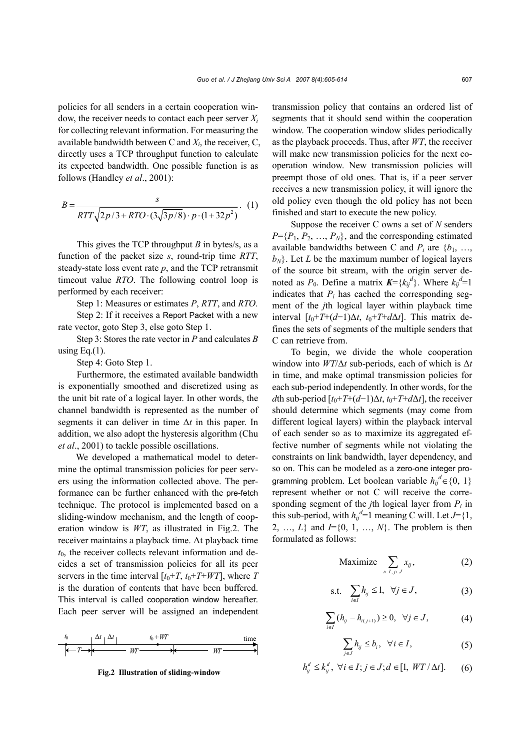policies for all senders in a certain cooperation window, the receiver needs to contact each peer server *Xi* for collecting relevant information. For measuring the available bandwidth between  $C$  and  $X_i$ , the receiver,  $C$ , directly uses a TCP throughput function to calculate its expected bandwidth. One possible function is as follows (Handley *et al*., 2001):

$$
B = \frac{s}{RTT\sqrt{2p/3 + RTO\cdot(3\sqrt{3p/8})\cdot p\cdot(1+32p^2)}}.
$$
 (1)

This gives the TCP throughput *B* in bytes/s, as a function of the packet size *s*, round-trip time *RTT*, steady-state loss event rate *p*, and the TCP retransmit timeout value *RTO*. The following control loop is performed by each receiver:

Step 1: Measures or estimates *P*, *RTT*, and *RTO*. Step 2: If it receives a Report Packet with a new rate vector, goto Step 3, else goto Step 1.

Step 3: Stores the rate vector in *P* and calculates *B* using Eq. $(1)$ .

Step 4: Goto Step 1.

Furthermore, the estimated available bandwidth is exponentially smoothed and discretized using as the unit bit rate of a logical layer. In other words, the channel bandwidth is represented as the number of segments it can deliver in time ∆*t* in this paper. In addition, we also adopt the hysteresis algorithm (Chu *et al*., 2001) to tackle possible oscillations.

We developed a mathematical model to determine the optimal transmission policies for peer servers using the information collected above. The performance can be further enhanced with the pre-fetch technique. The protocol is implemented based on a sliding-window mechanism, and the length of cooperation window is *WT*, as illustrated in Fig.2. The receiver maintains a playback time. At playback time  $t_0$ , the receiver collects relevant information and decides a set of transmission policies for all its peer servers in the time interval  $[t_0+T, t_0+T+WT]$ , where *T* is the duration of contents that have been buffered. This interval is called cooperation window hereafter. Each peer server will be assigned an independent



**Fig.2 Illustration of sliding-window**

transmission policy that contains an ordered list of segments that it should send within the cooperation window. The cooperation window slides periodically as the playback proceeds. Thus, after *WT*, the receiver will make new transmission policies for the next cooperation window. New transmission policies will preempt those of old ones. That is, if a peer server receives a new transmission policy, it will ignore the old policy even though the old policy has not been finished and start to execute the new policy.

Suppose the receiver C owns a set of *N* senders  $P = \{P_1, P_2, \ldots, P_N\}$ , and the corresponding estimated available bandwidths between C and  $P_i$  are  $\{b_1, \ldots, b_n\}$  $b_N$ . Let *L* be the maximum number of logical layers of the source bit stream, with the origin server denoted as  $P_0$ . Define a matrix  $\mathbf{K} = \{k_{ij}^d\}$ . Where  $k_{ij}^d = 1$ indicates that  $P_i$  has cached the corresponding segment of the *j*th logical layer within playback time interval  $[t_0+T+(d-1)\Delta t, t_0+T+d\Delta t]$ . This matrix defines the sets of segments of the multiple senders that C can retrieve from.

To begin, we divide the whole cooperation window into *WT*/∆*t* sub-periods, each of which is ∆*t* in time, and make optimal transmission policies for each sub-period independently. In other words, for the *d*th sub-period  $[t_0+T+(d-1)\Delta t, t_0+T+d\Delta t]$ , the receiver should determine which segments (may come from different logical layers) within the playback interval of each sender so as to maximize its aggregated effective number of segments while not violating the constraints on link bandwidth, layer dependency, and so on. This can be modeled as a zero-one integer programming problem. Let boolean variable  $h_{ij}^d \in \{0, 1\}$ represent whether or not C will receive the corresponding segment of the *j*th logical layer from  $P_i$  in this sub-period, with  $h_{ij}^{d}$ =1 meaning C will. Let *J*={1,} 2, …,  $L$ } and  $I = \{0, 1, ..., N\}$ . The problem is then formulated as follows:

$$
\text{Maximize} \sum_{i \in I, j \in J} x_{ij}, \tag{2}
$$

$$
\text{s.t.} \quad \sum_{i \in I} h_{ij} \le 1, \ \ \forall j \in J,
$$

$$
\sum_{i\in I}\left(h_{ij}-h_{i(j+1)}\right)\geq 0, \quad \forall j\in J,\tag{4}
$$

$$
\sum_{j\in J} h_{ij} \le b_i, \quad \forall i \in I,
$$
\n(5)

$$
h_{ij}^d \le k_{ij}^d, \ \forall i \in I; j \in J; d \in [1, \ WT/\Delta t]. \tag{6}
$$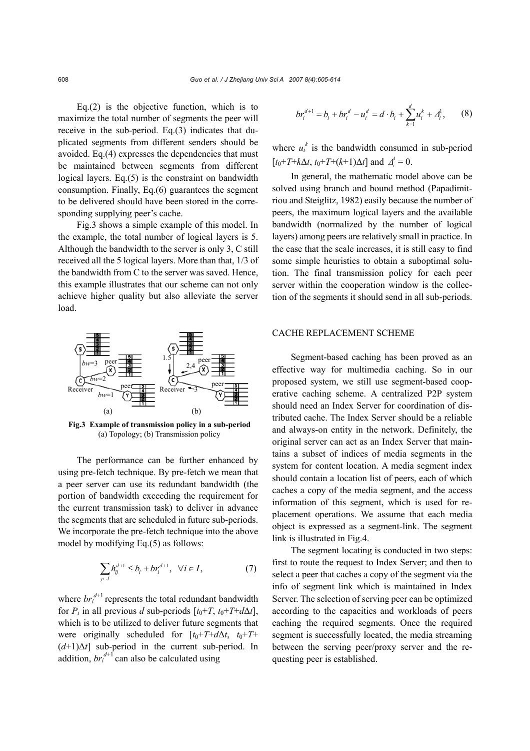Eq.(2) is the objective function, which is to maximize the total number of segments the peer will receive in the sub-period. Eq.(3) indicates that duplicated segments from different senders should be avoided. Eq.(4) expresses the dependencies that must be maintained between segments from different logical layers. Eq.(5) is the constraint on bandwidth consumption. Finally, Eq.(6) guarantees the segment to be delivered should have been stored in the corresponding supplying peer's cache.

Fig.3 shows a simple example of this model. In the example, the total number of logical layers is 5. Although the bandwidth to the server is only 3, C still received all the 5 logical layers. More than that, 1/3 of the bandwidth from C to the server was saved. Hence, this example illustrates that our scheme can not only achieve higher quality but also alleviate the server load.



**Fig.3 Example of transmission policy in a sub-period** (a) Topology; (b) Transmission policy

The performance can be further enhanced by using pre-fetch technique. By pre-fetch we mean that a peer server can use its redundant bandwidth (the portion of bandwidth exceeding the requirement for the current transmission task) to deliver in advance the segments that are scheduled in future sub-periods. We incorporate the pre-fetch technique into the above model by modifying Eq.(5) as follows:

$$
\sum_{j \in J} h_{ij}^{d+1} \le b_i + b r_i^{d+1}, \ \ \forall i \in I,
$$
 (7)

where  $br_i^{d+1}$  represents the total redundant bandwidth for *P<sub>i</sub>* in all previous *d* sub-periods  $[t_0+T, t_0+T+d\Delta t]$ , which is to be utilized to deliver future segments that were originally scheduled for  $[t_0+T+d\Delta t, t_0+T+$ (*d*+1)∆*t*] sub-period in the current sub-period. In addition,  $br_i^{d+1}$  can also be calculated using

$$
br_i^{d+1} = b_i + br_i^d - u_i^d = d \cdot b_i + \sum_{k=1}^d u_i^k + \Delta_i^l,
$$
 (8)

where  $u_i^k$  is the bandwidth consumed in sub-period  $[t_0+T+k\Delta t, t_0+T+(k+1)\Delta t]$  and  $\Delta^1 = 0$ .

In general, the mathematic model above can be solved using branch and bound method (Papadimitriou and Steiglitz, 1982) easily because the number of peers, the maximum logical layers and the available bandwidth (normalized by the number of logical layers) among peers are relatively small in practice. In the case that the scale increases, it is still easy to find some simple heuristics to obtain a suboptimal solution. The final transmission policy for each peer server within the cooperation window is the collection of the segments it should send in all sub-periods.

## CACHE REPLACEMENT SCHEME

Segment-based caching has been proved as an effective way for multimedia caching. So in our proposed system, we still use segment-based cooperative caching scheme. A centralized P2P system should need an Index Server for coordination of distributed cache. The Index Server should be a reliable and always-on entity in the network. Definitely, the original server can act as an Index Server that maintains a subset of indices of media segments in the system for content location. A media segment index should contain a location list of peers, each of which caches a copy of the media segment, and the access information of this segment, which is used for replacement operations. We assume that each media object is expressed as a segment-link. The segment link is illustrated in Fig.4.

The segment locating is conducted in two steps: first to route the request to Index Server; and then to select a peer that caches a copy of the segment via the info of segment link which is maintained in Index Server. The selection of serving peer can be optimized according to the capacities and workloads of peers caching the required segments. Once the required segment is successfully located, the media streaming between the serving peer/proxy server and the requesting peer is established.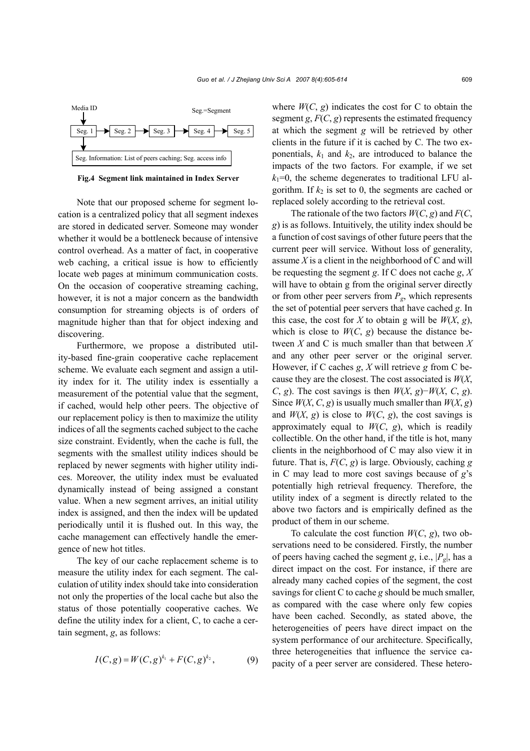

**Fig.4 Segment link maintained in Index Server**

Note that our proposed scheme for segment location is a centralized policy that all segment indexes are stored in dedicated server. Someone may wonder whether it would be a bottleneck because of intensive control overhead. As a matter of fact, in cooperative web caching, a critical issue is how to efficiently locate web pages at minimum communication costs. On the occasion of cooperative streaming caching, however, it is not a major concern as the bandwidth consumption for streaming objects is of orders of magnitude higher than that for object indexing and discovering.

Furthermore, we propose a distributed utility-based fine-grain cooperative cache replacement scheme. We evaluate each segment and assign a utility index for it. The utility index is essentially a measurement of the potential value that the segment, if cached, would help other peers. The objective of our replacement policy is then to maximize the utility indices of all the segments cached subject to the cache size constraint. Evidently, when the cache is full, the segments with the smallest utility indices should be replaced by newer segments with higher utility indices. Moreover, the utility index must be evaluated dynamically instead of being assigned a constant value. When a new segment arrives, an initial utility index is assigned, and then the index will be updated periodically until it is flushed out. In this way, the cache management can effectively handle the emergence of new hot titles.

The key of our cache replacement scheme is to measure the utility index for each segment. The calculation of utility index should take into consideration not only the properties of the local cache but also the status of those potentially cooperative caches. We define the utility index for a client, C, to cache a certain segment, *g*, as follows:

$$
I(C,g) = W(C,g)^{k_1} + F(C,g)^{k_2}, \tag{9}
$$

where  $W(C, g)$  indicates the cost for C to obtain the segment  $g, F(C, g)$  represents the estimated frequency at which the segment *g* will be retrieved by other clients in the future if it is cached by C. The two exponentials,  $k_1$  and  $k_2$ , are introduced to balance the impacts of the two factors. For example, if we set  $k_1=0$ , the scheme degenerates to traditional LFU algorithm. If  $k_2$  is set to 0, the segments are cached or replaced solely according to the retrieval cost.

The rationale of the two factors  $W(C, g)$  and  $F(C, g)$ *g*) is as follows. Intuitively, the utility index should be a function of cost savings of other future peers that the current peer will service. Without loss of generality, assume *X* is a client in the neighborhood of C and will be requesting the segment *g*. If C does not cache *g*, *X* will have to obtain g from the original server directly or from other peer servers from  $P_g$ , which represents the set of potential peer servers that have cached *g*. In this case, the cost for *X* to obtain g will be  $W(X, g)$ , which is close to  $W(C, g)$  because the distance between *X* and C is much smaller than that between *X* and any other peer server or the original server. However, if C caches *g*, *X* will retrieve *g* from C because they are the closest. The cost associated is *W*(*X*, *C*, *g*). The cost savings is then *W*(*X*, *g*)−*W*(*X*, *C*, *g*). Since  $W(X, C, g)$  is usually much smaller than  $W(X, g)$ and  $W(X, g)$  is close to  $W(C, g)$ , the cost savings is approximately equal to  $W(C, g)$ , which is readily collectible. On the other hand, if the title is hot, many clients in the neighborhood of C may also view it in future. That is, *F*(*C*, *g*) is large. Obviously, caching *g* in C may lead to more cost savings because of *g*'s potentially high retrieval frequency. Therefore, the utility index of a segment is directly related to the above two factors and is empirically defined as the product of them in our scheme.

To calculate the cost function  $W(C, g)$ , two observations need to be considered. Firstly, the number of peers having cached the segment *g*, i.e., |*Pg*|, has a direct impact on the cost. For instance, if there are already many cached copies of the segment, the cost savings for client C to cache *g* should be much smaller, as compared with the case where only few copies have been cached. Secondly, as stated above, the heterogeneities of peers have direct impact on the system performance of our architecture. Specifically, three heterogeneities that influence the service capacity of a peer server are considered. These hetero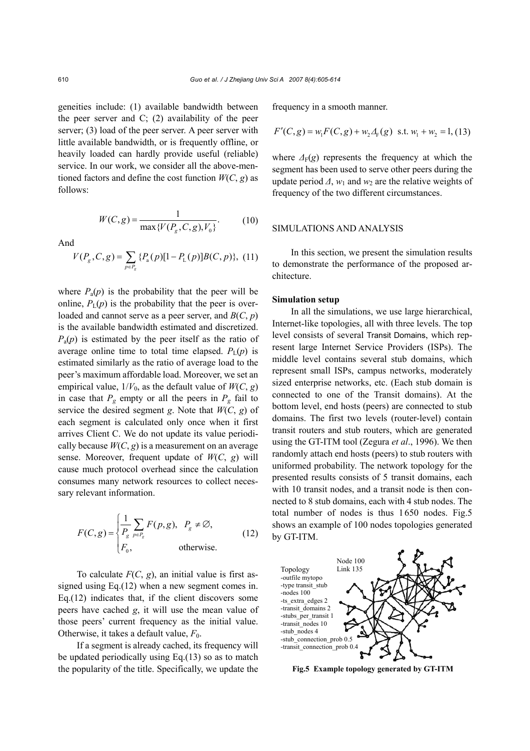geneities include: (1) available bandwidth between the peer server and C; (2) availability of the peer server; (3) load of the peer server. A peer server with little available bandwidth, or is frequently offline, or heavily loaded can hardly provide useful (reliable) service. In our work, we consider all the above-mentioned factors and define the cost function  $W(C, g)$  as follows:

$$
W(C, g) = \frac{1}{\max\{V(P_g, C, g), V_0\}}.
$$
 (10)

And

$$
V(P_g, C, g) = \sum_{p \in P_g} \{P_a(p)[1 - P_L(p)]B(C, p)\},
$$
 (11)

where  $P_a(p)$  is the probability that the peer will be online,  $P_{L}(p)$  is the probability that the peer is overloaded and cannot serve as a peer server, and *B*(*C*, *p*) is the available bandwidth estimated and discretized.  $P_a(p)$  is estimated by the peer itself as the ratio of average online time to total time elapsed.  $P_{L}(p)$  is estimated similarly as the ratio of average load to the peer's maximum affordable load. Moreover, we set an empirical value,  $1/V_0$ , as the default value of  $W(C, g)$ in case that  $P_g$  empty or all the peers in  $P_g$  fail to service the desired segment *g*. Note that  $W(C, g)$  of each segment is calculated only once when it first arrives Client C. We do not update its value periodically because  $W(C, g)$  is a measurement on an average sense. Moreover, frequent update of *W*(*C*, *g*) will cause much protocol overhead since the calculation consumes many network resources to collect necessary relevant information.

$$
F(C,g) = \begin{cases} \frac{1}{P_g} \sum_{p \in P_g} F(p,g), & P_g \neq \emptyset, \\ F_0, & \text{otherwise.} \end{cases}
$$
(12)

To calculate  $F(C, g)$ , an initial value is first assigned using Eq.(12) when a new segment comes in. Eq.(12) indicates that, if the client discovers some peers have cached *g*, it will use the mean value of those peers' current frequency as the initial value. Otherwise, it takes a default value,  $F_0$ .

If a segment is already cached, its frequency will be updated periodically using Eq.(13) so as to match the popularity of the title. Specifically, we update the frequency in a smooth manner.

$$
F'(C, g) = w_1 F(C, g) + w_2 A_{F}(g) \text{ s.t. } w_1 + w_2 = 1, (13)
$$

where  $\Delta_F(g)$  represents the frequency at which the segment has been used to serve other peers during the update period *∆*, *w*<sub>1</sub> and *w*<sub>2</sub> are the relative weights of frequency of the two different circumstances.

# SIMULATIONS AND ANALYSIS

In this section, we present the simulation results to demonstrate the performance of the proposed architecture.

#### **Simulation setup**

In all the simulations, we use large hierarchical, Internet-like topologies, all with three levels. The top level consists of several Transit Domains, which represent large Internet Service Providers (ISPs). The middle level contains several stub domains, which represent small ISPs, campus networks, moderately sized enterprise networks, etc. (Each stub domain is connected to one of the Transit domains). At the bottom level, end hosts (peers) are connected to stub domains. The first two levels (router-level) contain transit routers and stub routers, which are generated using the GT-ITM tool (Zegura *et al*., 1996). We then randomly attach end hosts (peers) to stub routers with uniformed probability. The network topology for the presented results consists of 5 transit domains, each with 10 transit nodes, and a transit node is then connected to 8 stub domains, each with 4 stub nodes. The total number of nodes is thus 1650 nodes. Fig.5 shows an example of 100 nodes topologies generated by GT-ITM.



**Fig.5 Example topology generated by GT-ITM**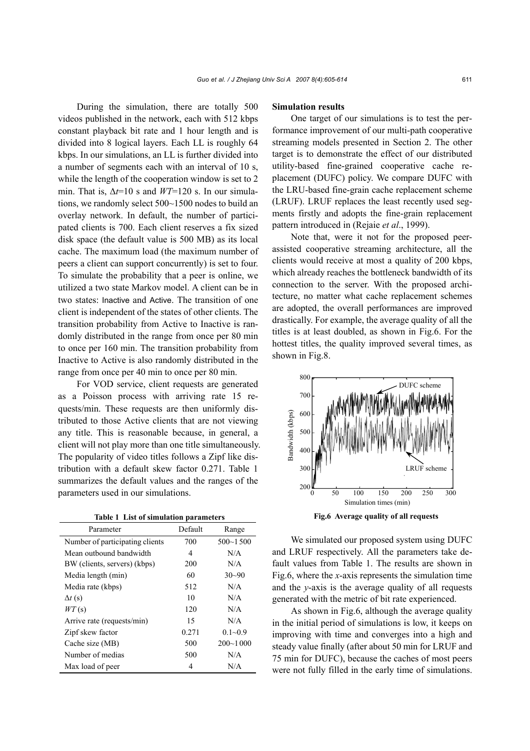During the simulation, there are totally 500 videos published in the network, each with 512 kbps constant playback bit rate and 1 hour length and is divided into 8 logical layers. Each LL is roughly 64 kbps. In our simulations, an LL is further divided into a number of segments each with an interval of 10 s, while the length of the cooperation window is set to 2 min. That is, ∆*t*=10 s and *WT*=120 s. In our simulations, we randomly select 500~1500 nodes to build an overlay network. In default, the number of participated clients is 700. Each client reserves a fix sized disk space (the default value is 500 MB) as its local cache. The maximum load (the maximum number of peers a client can support concurrently) is set to four. To simulate the probability that a peer is online, we utilized a two state Markov model. A client can be in two states: Inactive and Active. The transition of one client is independent of the states of other clients. The transition probability from Active to Inactive is randomly distributed in the range from once per 80 min to once per 160 min. The transition probability from Inactive to Active is also randomly distributed in the range from once per 40 min to once per 80 min.

For VOD service, client requests are generated as a Poisson process with arriving rate 15 requests/min. These requests are then uniformly distributed to those Active clients that are not viewing any title. This is reasonable because, in general, a client will not play more than one title simultaneously. The popularity of video titles follows a Zipf like distribution with a default skew factor 0.271. Table 1 summarizes the default values and the ranges of the parameters used in our simulations.

**Table 1 List of simulation parameters** 

| Parameter                       | Default | Range        |
|---------------------------------|---------|--------------|
| Number of participating clients | 700     | $500 - 1500$ |
| Mean outhound handwidth         | 4       | N/A          |
| BW (clients, servers) (kbps)    | 200     | N/A          |
| Media length (min)              | 60      | $30 - 90$    |
| Media rate (kbps)               | 512     | N/A          |
| $\Delta t$ (s)                  | 10      | N/A          |
| WT(s)                           | 120     | N/A          |
| Arrive rate (requests/min)      | 15      | N/A          |
| Zipf skew factor                | 0.271   | $0.1 - 0.9$  |
| Cache size (MB)                 | 500     | $200 - 1000$ |
| Number of medias                | 500     | N/A          |
| Max load of peer                | 4       | N/A          |

#### **Simulation results**

One target of our simulations is to test the performance improvement of our multi-path cooperative streaming models presented in Section 2. The other target is to demonstrate the effect of our distributed utility-based fine-grained cooperative cache replacement (DUFC) policy. We compare DUFC with the LRU-based fine-grain cache replacement scheme (LRUF). LRUF replaces the least recently used segments firstly and adopts the fine-grain replacement pattern introduced in (Rejaie *et al*., 1999).

Note that, were it not for the proposed peerassisted cooperative streaming architecture, all the clients would receive at most a quality of 200 kbps, which already reaches the bottleneck bandwidth of its connection to the server. With the proposed architecture, no matter what cache replacement schemes are adopted, the overall performances are improved drastically. For example, the average quality of all the titles is at least doubled, as shown in Fig.6. For the hottest titles, the quality improved several times, as shown in Fig.8.



**Fig.6 Average quality of all requests** 

We simulated our proposed system using DUFC and LRUF respectively. All the parameters take default values from Table 1. The results are shown in Fig.6, where the *x*-axis represents the simulation time and the *y*-axis is the average quality of all requests generated with the metric of bit rate experienced.

As shown in Fig.6, although the average quality in the initial period of simulations is low, it keeps on improving with time and converges into a high and steady value finally (after about 50 min for LRUF and 75 min for DUFC), because the caches of most peers were not fully filled in the early time of simulations.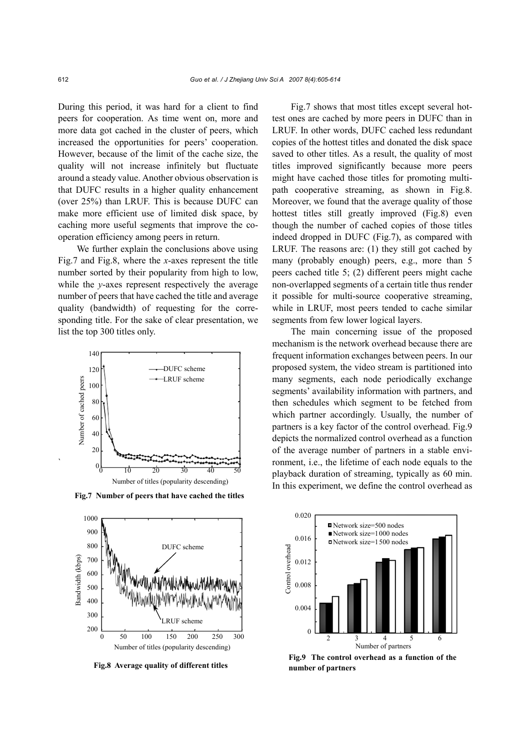During this period, it was hard for a client to find peers for cooperation. As time went on, more and more data got cached in the cluster of peers, which increased the opportunities for peers' cooperation. However, because of the limit of the cache size, the quality will not increase infinitely but fluctuate around a steady value. Another obvious observation is that DUFC results in a higher quality enhancement (over 25%) than LRUF. This is because DUFC can make more efficient use of limited disk space, by caching more useful segments that improve the cooperation efficiency among peers in return.

We further explain the conclusions above using Fig.7 and Fig.8, where the *x*-axes represent the title number sorted by their popularity from high to low, while the *y*-axes represent respectively the average number of peers that have cached the title and average quality (bandwidth) of requesting for the corresponding title. For the sake of clear presentation, we list the top 300 titles only.



**Fig.7 Number of peers that have cached the titles** 



**Fig.8 Average quality of different titles**

Fig.7 shows that most titles except several hottest ones are cached by more peers in DUFC than in LRUF. In other words, DUFC cached less redundant copies of the hottest titles and donated the disk space saved to other titles. As a result, the quality of most titles improved significantly because more peers might have cached those titles for promoting multipath cooperative streaming, as shown in Fig.8. Moreover, we found that the average quality of those hottest titles still greatly improved (Fig.8) even though the number of cached copies of those titles indeed dropped in DUFC (Fig.7), as compared with LRUF. The reasons are: (1) they still got cached by many (probably enough) peers, e.g., more than 5 peers cached title 5; (2) different peers might cache non-overlapped segments of a certain title thus render it possible for multi-source cooperative streaming, while in LRUF, most peers tended to cache similar segments from few lower logical layers.

The main concerning issue of the proposed mechanism is the network overhead because there are frequent information exchanges between peers. In our proposed system, the video stream is partitioned into many segments, each node periodically exchange segments' availability information with partners, and then schedules which segment to be fetched from which partner accordingly. Usually, the number of partners is a key factor of the control overhead. Fig.9 depicts the normalized control overhead as a function of the average number of partners in a stable environment, i.e., the lifetime of each node equals to the playback duration of streaming, typically as 60 min. In this experiment, we define the control overhead as



**Fig.9 The control overhead as a function of the number of partners** 

`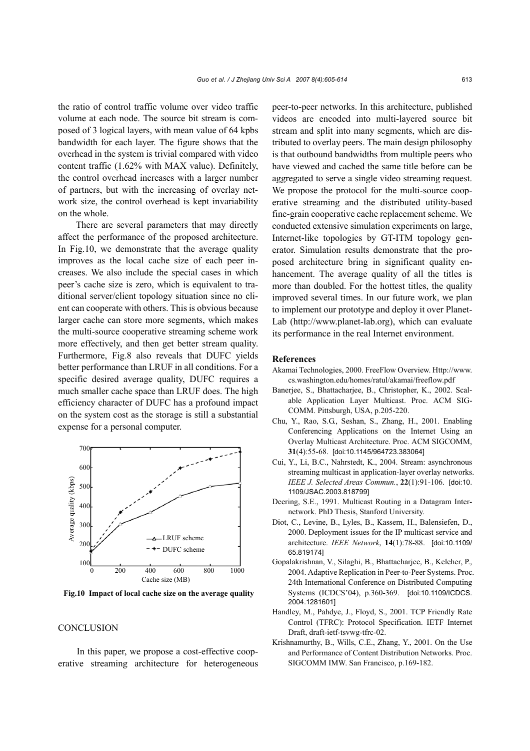the ratio of control traffic volume over video traffic volume at each node. The source bit stream is composed of 3 logical layers, with mean value of 64 kpbs bandwidth for each layer. The figure shows that the overhead in the system is trivial compared with video content traffic (1.62% with MAX value). Definitely, the control overhead increases with a larger number of partners, but with the increasing of overlay network size, the control overhead is kept invariability on the whole.

There are several parameters that may directly affect the performance of the proposed architecture. In Fig.10, we demonstrate that the average quality improves as the local cache size of each peer increases. We also include the special cases in which peer's cache size is zero, which is equivalent to traditional server/client topology situation since no client can cooperate with others. This is obvious because larger cache can store more segments, which makes the multi-source cooperative streaming scheme work more effectively, and then get better stream quality. Furthermore, Fig.8 also reveals that DUFC yields better performance than LRUF in all conditions. For a specific desired average quality, DUFC requires a much smaller cache space than LRUF does. The high efficiency character of DUFC has a profound impact on the system cost as the storage is still a substantial expense for a personal computer.



**Fig.10 Impact of local cache size on the average quality**

## **CONCLUSION**

In this paper, we propose a cost-effective cooperative streaming architecture for heterogeneous peer-to-peer networks. In this architecture, published videos are encoded into multi-layered source bit stream and split into many segments, which are distributed to overlay peers. The main design philosophy is that outbound bandwidths from multiple peers who have viewed and cached the same title before can be aggregated to serve a single video streaming request. We propose the protocol for the multi-source cooperative streaming and the distributed utility-based fine-grain cooperative cache replacement scheme. We conducted extensive simulation experiments on large, Internet-like topologies by GT-ITM topology generator. Simulation results demonstrate that the proposed architecture bring in significant quality enhancement. The average quality of all the titles is more than doubled. For the hottest titles, the quality improved several times. In our future work, we plan to implement our prototype and deploy it over Planet-Lab (http://www.planet-lab.org), which can evaluate its performance in the real Internet environment.

# **References**

- Akamai Technologies, 2000. FreeFlow Overview. Http://www. cs.washington.edu/homes/ratul/akamai/freeflow.pdf
- Banerjee, S., Bhattacharjee, B., Christopher, K., 2002. Scalable Application Layer Multicast. Proc. ACM SIG-COMM. Pittsburgh, USA, p.205-220.
- Chu, Y., Rao, S.G., Seshan, S., Zhang, H., 2001. Enabling Conferencing Applications on the Internet Using an Overlay Multicast Architecture. Proc. ACM SIGCOMM, **31**(4):55-68. [doi:10.1145/964723.383064]
- Cui, Y., Li, B.C., Nahrstedt, K., 2004. Stream: asynchronous streaming multicast in application-layer overlay networks. *IEEE J. Selected Areas Commun.*, **22**(1):91-106. [doi:10. 1109/JSAC.2003.818799]
- Deering, S.E., 1991. Multicast Routing in a Datagram Internetwork. PhD Thesis, Stanford University.
- Diot, C., Levine, B., Lyles, B., Kassem, H., Balensiefen, D., 2000. Deployment issues for the IP multicast service and architecture. *IEEE Network*, **14**(1):78-88. [doi:10.1109/ 65.819174]
- Gopalakrishnan, V., Silaghi, B., Bhattacharjee, B., Keleher, P., 2004. Adaptive Replication in Peer-to-Peer Systems. Proc. 24th International Conference on Distributed Computing Systems (ICDCS'04), p.360-369. [doi:10.1109/ICDCS. 2004.1281601]
- Handley, M., Pahdye, J., Floyd, S., 2001. TCP Friendly Rate Control (TFRC): Protocol Specification. IETF Internet Draft, draft-ietf-tsvwg-tfrc-02.
- Krishnamurthy, B., Wills, C.E., Zhang, Y., 2001. On the Use and Performance of Content Distribution Networks. Proc. SIGCOMM IMW. San Francisco, p.169-182.